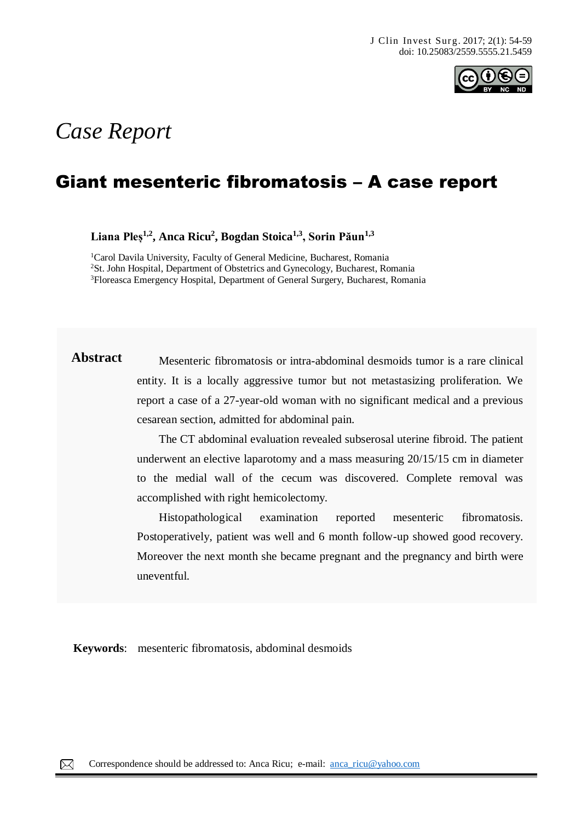

# *Case Report*

# Giant mesenteric fibromatosis – A case report

**Liana Pleș1,2, Anca Ricu<sup>2</sup> , Bogdan Stoica1,3 , Sorin Păun1,3** 

<sup>1</sup>Carol Davila University, Faculty of General Medicine, Bucharest, Romania <sup>2</sup>St. John Hospital, Department of Obstetrics and Gynecology, Bucharest, Romania <sup>3</sup>Floreasca Emergency Hospital, Department of General Surgery, Bucharest, Romania

**Abstract** Mesenteric fibromatosis or intra-abdominal desmoids tumor is a rare clinical entity. It is a locally aggressive tumor but not metastasizing proliferation. We report a case of a 27-year-old woman with no significant medical and a previous cesarean section, admitted for abdominal pain.

> The CT abdominal evaluation revealed subserosal uterine fibroid. The patient underwent an elective laparotomy and a mass measuring 20/15/15 cm in diameter to the medial wall of the cecum was discovered. Complete removal was accomplished with right hemicolectomy.

> Histopathological examination reported mesenteric fibromatosis. Postoperatively, patient was well and 6 month follow-up showed good recovery. Moreover the next month she became pregnant and the pregnancy and birth were uneventful.

**Keywords**: mesenteric fibromatosis, abdominal desmoids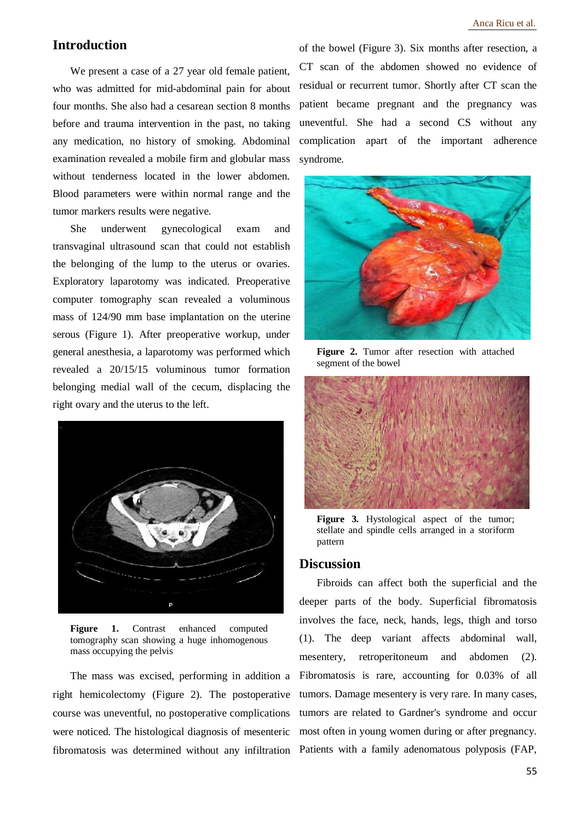## **Introduction**

We present a case of a 27 year old female patient, who was admitted for mid-abdominal pain for about four months. She also had a cesarean section 8 months before and trauma intervention in the past, no taking any medication, no history of smoking. Abdominal examination revealed a mobile firm and globular mass without tenderness located in the lower abdomen. Blood parameters were within normal range and the tumor markers results were negative.

She underwent gynecological exam and transvaginal ultrasound scan that could not establish the belonging of the lump to the uterus or ovaries. Exploratory laparotomy was indicated. Preoperative computer tomography scan revealed a voluminous mass of 124/90 mm base implantation on the uterine serous (Figure 1). After preoperative workup, under general anesthesia, a laparotomy was performed which revealed a 20/15/15 voluminous tumor formation belonging medial wall of the cecum, displacing the right ovary and the uterus to the left.



Figure 1. Contrast enhanced computed tomography scan showing a huge inhomogenous mass occupying the pelvis

The mass was excised, performing in addition a right hemicolectomy (Figure 2). The postoperative course was uneventful, no postoperative complications were noticed. The histological diagnosis of mesenteric fibromatosis was determined without any infiltration

of the bowel (Figure 3). Six months after resection, a CT scan of the abdomen showed no evidence of residual or recurrent tumor. Shortly after CT scan the patient became pregnant and the pregnancy was uneventful. She had a second CS without any complication apart of the important adherence syndrome.



**Figure 2.** Tumor after resection with attached segment of the bowel



**Figure 3.** Hystological aspect of the tumor; stellate and spindle cells arranged in a storiform pattern

#### **Discussion**

Fibroids can affect both the superficial and the deeper parts of the body. Superficial fibromatosis involves the face, neck, hands, legs, thigh and torso (1). The deep variant affects abdominal wall, mesentery, retroperitoneum and abdomen (2). Fibromatosis is rare, accounting for 0.03% of all tumors. Damage mesentery is very rare. In many cases, tumors are related to Gardner's syndrome and occur most often in young women during or after pregnancy. Patients with a family adenomatous polyposis (FAP,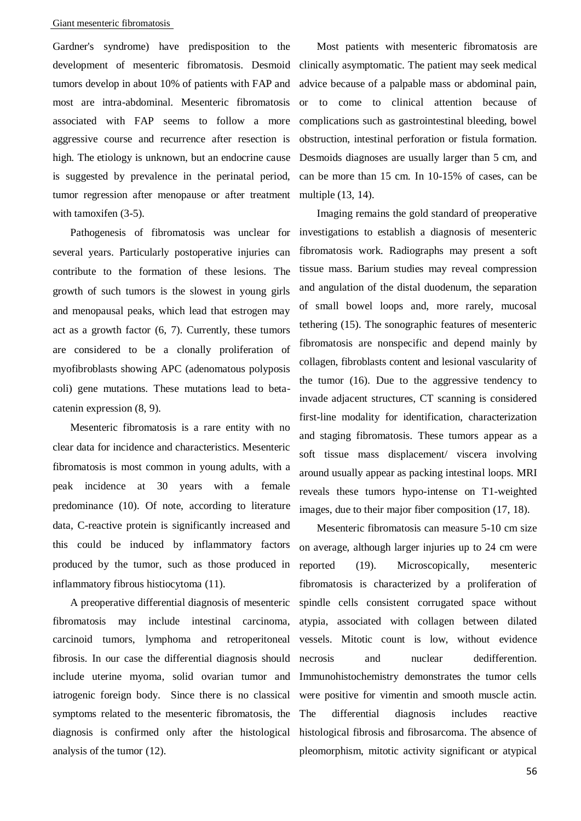#### Giant mesenteric fibromatosis

Gardner's syndrome) have predisposition to the development of mesenteric fibromatosis. Desmoid tumors develop in about 10% of patients with FAP and most are intra-abdominal. Mesenteric fibromatosis associated with FAP seems to follow a more aggressive course and recurrence after resection is high. The etiology is unknown, but an endocrine cause is suggested by prevalence in the perinatal period, tumor regression after menopause or after treatment with tamoxifen  $(3-5)$ .

Pathogenesis of fibromatosis was unclear for several years. Particularly postoperative injuries can contribute to the formation of these lesions. The growth of such tumors is the slowest in young girls and menopausal peaks, which lead that estrogen may act as a growth factor (6, 7). Currently, these tumors are considered to be a clonally proliferation of myofibroblasts showing APC (adenomatous polyposis coli) gene mutations. These mutations lead to betacatenin expression (8, 9).

Mesenteric fibromatosis is a rare entity with no clear data for incidence and characteristics. Mesenteric fibromatosis is most common in young adults, with a peak incidence at 30 years with a female predominance (10). Of note, according to literature data, C-reactive protein is significantly increased and this could be induced by inflammatory factors produced by the tumor, such as those produced in inflammatory fibrous histiocytoma (11).

A preoperative differential diagnosis of mesenteric fibromatosis may include intestinal carcinoma, carcinoid tumors, lymphoma and retroperitoneal fibrosis. In our case the differential diagnosis should include uterine myoma, solid ovarian tumor and iatrogenic foreign body. Since there is no classical symptoms related to the mesenteric fibromatosis, the diagnosis is confirmed only after the histological analysis of the tumor (12).

Most patients with mesenteric fibromatosis are clinically asymptomatic. The patient may seek medical advice because of a palpable mass or abdominal pain, or to come to clinical attention because of complications such as gastrointestinal bleeding, bowel obstruction, intestinal perforation or fistula formation. Desmoids diagnoses are usually larger than 5 cm, and can be more than 15 cm. In 10-15% of cases, can be multiple (13, 14).

Imaging remains the gold standard of preoperative investigations to establish a diagnosis of mesenteric fibromatosis work. Radiographs may present a soft tissue mass. Barium studies may reveal compression and angulation of the distal duodenum, the separation of small bowel loops and, more rarely, mucosal tethering (15). The sonographic features of mesenteric fibromatosis are nonspecific and depend mainly by collagen, fibroblasts content and lesional vascularity of the tumor (16). Due to the aggressive tendency to invade adjacent structures, CT scanning is considered first-line modality for identification, characterization and staging fibromatosis. These tumors appear as a soft tissue mass displacement/ viscera involving around usually appear as packing intestinal loops. MRI reveals these tumors hypo-intense on T1-weighted images, due to their major fiber composition (17, 18).

Mesenteric fibromatosis can measure 5-10 cm size on average, although larger injuries up to 24 cm were reported (19). Microscopically, mesenteric fibromatosis is characterized by a proliferation of spindle cells consistent corrugated space without atypia, associated with collagen between dilated vessels. Mitotic count is low, without evidence necrosis and nuclear dedifferention. Immunohistochemistry demonstrates the tumor cells were positive for vimentin and smooth muscle actin. The differential diagnosis includes reactive histological fibrosis and fibrosarcoma. The absence of pleomorphism, mitotic activity significant or atypical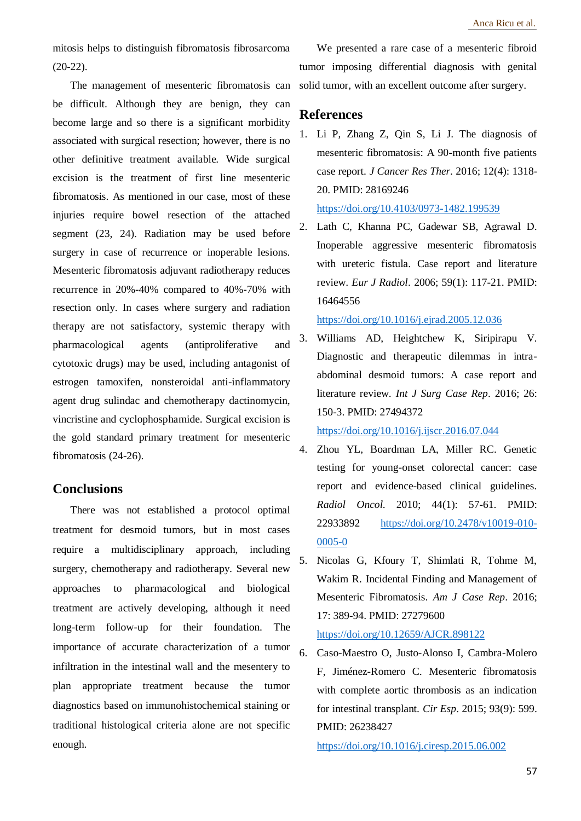mitosis helps to distinguish fibromatosis fibrosarcoma (20-22).

The management of mesenteric fibromatosis can be difficult. Although they are benign, they can become large and so there is a significant morbidity associated with surgical resection; however, there is no other definitive treatment available. Wide surgical excision is the treatment of first line mesenteric fibromatosis. As mentioned in our case, most of these injuries require bowel resection of the attached segment (23, 24). Radiation may be used before surgery in case of recurrence or inoperable lesions. Mesenteric fibromatosis adjuvant radiotherapy reduces recurrence in 20%-40% compared to 40%-70% with resection only. In cases where surgery and radiation therapy are not satisfactory, systemic therapy with pharmacological agents (antiproliferative and cytotoxic drugs) may be used, including antagonist of estrogen tamoxifen, nonsteroidal anti-inflammatory agent drug sulindac and chemotherapy dactinomycin, vincristine and cyclophosphamide. Surgical excision is the gold standard primary treatment for mesenteric fibromatosis (24-26).

## **Conclusions**

There was not established a protocol optimal treatment for desmoid tumors, but in most cases require a multidisciplinary approach, including surgery, chemotherapy and radiotherapy. Several new approaches to pharmacological and biological treatment are actively developing, although it need long-term follow-up for their foundation. The importance of accurate characterization of a tumor infiltration in the intestinal wall and the mesentery to plan appropriate treatment because the tumor diagnostics based on immunohistochemical staining or traditional histological criteria alone are not specific enough.

We presented a rare case of a mesenteric fibroid tumor imposing differential diagnosis with genital solid tumor, with an excellent outcome after surgery.

#### **References**

1. Li P, Zhang Z, Qin S, Li J. The diagnosis of mesenteric fibromatosis: A 90-month five patients case report. *J Cancer Res Ther*. 2016; 12(4): 1318- 20. PMID: 28169246 <https://doi.org/10.4103/0973-1482.199539>

2. Lath C, Khanna PC, Gadewar SB, Agrawal D. Inoperable aggressive mesenteric fibromatosis with ureteric fistula. Case report and literature review. *Eur J Radiol*. 2006; 59(1): 117-21. PMID: 16464556

<https://doi.org/10.1016/j.ejrad.2005.12.036>

3. Williams AD, Heightchew K, Siripirapu V. Diagnostic and therapeutic dilemmas in intraabdominal desmoid tumors: A case report and literature review. *Int J Surg Case Rep*. 2016; 26: 150-3. PMID: 27494372

<https://doi.org/10.1016/j.ijscr.2016.07.044>

- 4. Zhou YL, Boardman LA, Miller RC. Genetic testing for young-onset colorectal cancer: case report and evidence-based clinical guidelines. *Radiol Oncol*. 2010; 44(1): 57-61. PMID: 22933892 [https://doi.org/10.2478/v10019-010-](https://doi.org/10.2478/v10019-010-0005-0) [0005-0](https://doi.org/10.2478/v10019-010-0005-0)
- 5. Nicolas G, Kfoury T, Shimlati R, Tohme M, Wakim R. Incidental Finding and Management of Mesenteric Fibromatosis. *Am J Case Rep*. 2016; 17: 389-94. PMID: 27279600 <https://doi.org/10.12659/AJCR.898122>
- 6. Caso-Maestro O, Justo-Alonso I, Cambra-Molero F, Jiménez-Romero C. Mesenteric fibromatosis with complete aortic thrombosis as an indication for intestinal transplant. *Cir Esp*. 2015; 93(9): 599. PMID: 26238427

<https://doi.org/10.1016/j.ciresp.2015.06.002>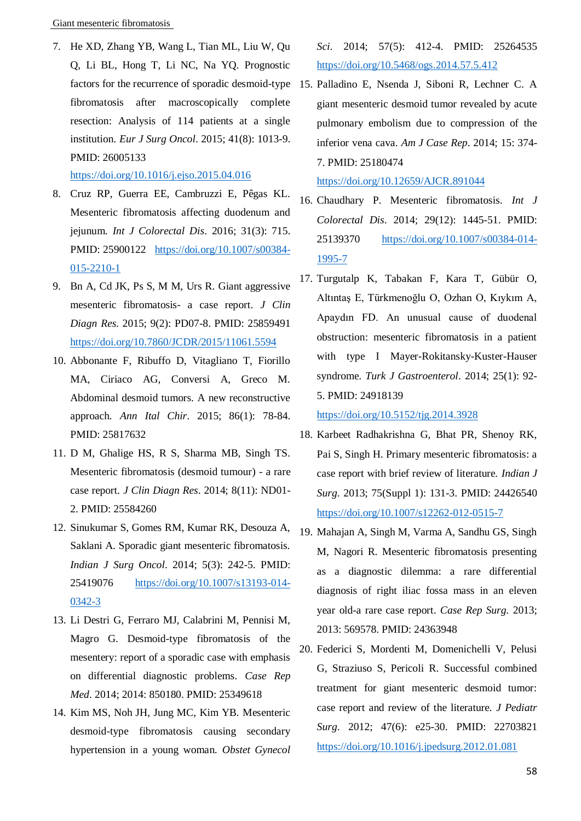Giant mesenteric fibromatosis

7. He XD, Zhang YB, Wang L, Tian ML, Liu W, Qu Q, Li BL, Hong T, Li NC, Na YQ. Prognostic factors for the recurrence of sporadic desmoid-type 15. Palladino E, Nsenda J, Siboni R, Lechner C. A fibromatosis after macroscopically complete resection: Analysis of 114 patients at a single institution. *Eur J Surg Oncol*. 2015; 41(8): 1013-9. PMID: 26005133

<https://doi.org/10.1016/j.ejso.2015.04.016>

- 8. Cruz RP, Guerra EE, Cambruzzi E, Pêgas KL. Mesenteric fibromatosis affecting duodenum and jejunum. *Int J Colorectal Dis*. 2016; 31(3): 715. PMID: 25900122 [https://doi.org/10.1007/s00384-](https://doi.org/10.1007/s00384-015-2210-1) [015-2210-1](https://doi.org/10.1007/s00384-015-2210-1)
- 9. Bn A, Cd JK, Ps S, M M, Urs R. Giant aggressive mesenteric fibromatosis- a case report. *J Clin Diagn Res*. 2015; 9(2): PD07-8. PMID: 25859491 <https://doi.org/10.7860/JCDR/2015/11061.5594>
- 10. Abbonante F, Ribuffo D, Vitagliano T, Fiorillo MA, Ciriaco AG, Conversi A, Greco M. Abdominal desmoid tumors. A new reconstructive approach. *Ann Ital Chir*. 2015; 86(1): 78-84. PMID: 25817632
- 11. D M, Ghalige HS, R S, Sharma MB, Singh TS. Mesenteric fibromatosis (desmoid tumour) - a rare case report. *J Clin Diagn Res*. 2014; 8(11): ND01- 2. PMID: 25584260
- 12. Sinukumar S, Gomes RM, Kumar RK, Desouza A, Saklani A. Sporadic giant mesenteric fibromatosis. *Indian J Surg Oncol*. 2014; 5(3): 242-5. PMID: 25419076 [https://doi.org/10.1007/s13193-014-](https://doi.org/10.1007/s13193-014-0342-3) [0342-3](https://doi.org/10.1007/s13193-014-0342-3)
- 13. Li Destri G, Ferraro MJ, Calabrini M, Pennisi M, Magro G. Desmoid-type fibromatosis of the mesentery: report of a sporadic case with emphasis on differential diagnostic problems. *Case Rep Med*. 2014; 2014: 850180. PMID: 25349618
- 14. Kim MS, Noh JH, Jung MC, Kim YB. Mesenteric desmoid-type fibromatosis causing secondary hypertension in a young woman. *Obstet Gynecol*

*Sci*. 2014; 57(5): 412-4. PMID: 25264535 <https://doi.org/10.5468/ogs.2014.57.5.412>

giant mesenteric desmoid tumor revealed by acute pulmonary embolism due to compression of the inferior vena cava. *Am J Case Rep*. 2014; 15: 374- 7. PMID: 25180474

<https://doi.org/10.12659/AJCR.891044>

- 16. Chaudhary P. Mesenteric fibromatosis. *Int J Colorectal Dis*. 2014; 29(12): 1445-51. PMID: 25139370 [https://doi.org/10.1007/s00384-014-](https://doi.org/10.1007/s00384-014-1995-7) [1995-7](https://doi.org/10.1007/s00384-014-1995-7)
- 17. Turgutalp K, Tabakan F, Kara T, Gübür O, Altıntaş E, Türkmenoğlu O, Ozhan O, Kıykım A, Apaydın FD. An unusual cause of duodenal obstruction: mesenteric fibromatosis in a patient with type I Mayer-Rokitansky-Kuster-Hauser syndrome. *Turk J Gastroenterol*. 2014; 25(1): 92- 5. PMID: 24918139

<https://doi.org/10.5152/tjg.2014.3928>

- 18. Karbeet Radhakrishna G, Bhat PR, Shenoy RK, Pai S, Singh H. Primary mesenteric fibromatosis: a case report with brief review of literature. *Indian J Surg*. 2013; 75(Suppl 1): 131-3. PMID: 24426540 <https://doi.org/10.1007/s12262-012-0515-7>
- 19. Mahajan A, Singh M, Varma A, Sandhu GS, Singh M, Nagori R. Mesenteric fibromatosis presenting as a diagnostic dilemma: a rare differential diagnosis of right iliac fossa mass in an eleven year old-a rare case report. *Case Rep Surg*. 2013; 2013: 569578. PMID: 24363948
- 20. Federici S, Mordenti M, Domenichelli V, Pelusi G, Straziuso S, Pericoli R. Successful combined treatment for giant mesenteric desmoid tumor: case report and review of the literature. *J Pediatr Surg*. 2012; 47(6): e25-30. PMID: 22703821 <https://doi.org/10.1016/j.jpedsurg.2012.01.081>